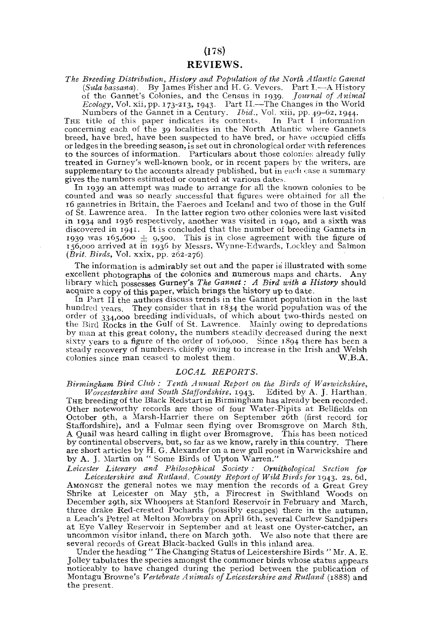## REVIEWS.

*The Breeding Distribution, History and Population of the North Atlantic Gannet (Sola bassana).* By James Fisher and H. G. Vevcrs. Part I.—A History of the Gannet's Colonies, and the Census in 1939. *Journal of Animal Ecology,* Vol. xii, pp. 173-213, 1943. Part II.—The Changes in the World

Numbers of the Gannet in a Century. *Ibid.*, Vol. xiii, pp. 49-62, 1944.<br>THE title of this paper indicates its contents. In Part I information concerning each of the 39 localities in the North Atlantic where Gannets. breed, have bred, have been suspected to have bred, or have occupied cliffs or ledges in the breeding season, is set out in chronological order with references to the sources of information. Particulars about those colonies already fully treated in Gurney's well-known book, or in recent papers by the writers, are  $supplementary$  to the accounts already published, but in each case a summary gives the numbers estimated or counted at various dates.

In 1939 an attempt was made to arrange for all the known colonies to be. counted and was so nearly successful that figures were obtained for all the 16 gannetries in Britain, the Faeroes and Iceland and two of those in the Gulf of St. Lawrence area. In the latter region two other colonies were last visited in 1934 and 1936 respectively, another was visited in 1940, and a sixth was discovered in 1941. It is concluded that the number of breeding Gannets in<br>1939 was 165,600  $\pm$  9,500. This is in close agreement with the figure of<br>156,000 arrived at in 1936 by Messrs. Wynne-Edwards, Lockley and Salmon  $(Brit.~Birds, Vol.~xxix, pp.~262-276).$ 

The information is admirably set out and the paper is illustrated with some excellent photographs of the colonies and numerous maps and charts. Any library which possesses Gurney's The Gannet: A Bird with a History should acquire a copy of this paper, which brings the history up to date.

In Part  $I\tilde{I}$  the authors discuss trends in the Gannet population in the last hundred vears. They consider that in 1834 the world population was of the order of  $334,000$  breeding individuals, of which about two-thirds nested on the Bird Rocks in the Gulf of St. Lawrence. Mainly owing to depredations by man at this great colony, the numbers steadily decreased during the next sixty vears to a figure of the order of 106,000. Since 1894 there has been a steady recovery of numbers, chiefly owing to increase in the Irish and Welsh colonies since man ceased to molest them. W.B.A. colonies since man ceases them. We have the molecules them.

## *LOCAL REPORTS.*

*Birmingham Bird Club : Tenth Annual Report on the Birds of Warwickshire,* 

*Worcestershire and South Staffordshire,* 1943. Edited by A. J. Harthan. THE breeding of the Black Redstart in Birmingham has already been recorded. Other noteworthy records are those of four Water-Pipits at Bellfields on October 9th, a Marsh-Harrier there on September 26th (first record for Staffordshire), and a Fulmar seen flying over Bromsgrove on March 8th. A Quail was heard calling in flight over Bromsgrove. This has been noticed by continental observers, but, so far as we know, rarely in this country. There are short articles by H. G. Alexander on a new gull roost in Warwickshire and by A. J. Martin on " Some Birds of Upton Warren."

*Leicester Literary and Philosophical Society ; Ornithological Section for Leicestershire and Rutland. County Report of"Wild Birds for* 1943. 2s. 6d. AMONGST the general notes we may mention the records of a Great Grey Shrike at Leicester on May 5th, a Firecrest in Swithland Woods on December 29th, six Whoopers at Stanford Reservoir in February and March, three drake Red-crested Pochards (possibly escapes) there in the autumn, a Leach's Petrel at Melton Mowbray on April 6th, several Curlew Sandpipers at Eye Valley Reservoir in September and at least one Oyster-catcher, an uncommon visitor inland, there on March 30th. We also note that there are several records of Great Black-backed Gulls in this inland area.

Under the heading " The Changing Status of Leicestershire Birds " Mr. A. E. Jolley tabulates the species amongst the commoner birds whose status appears noticeably to have changed during the period between the publication of Montagu Browne's *Vertebrate Animals of Leicestershire and Rutland* (1888) and the present.